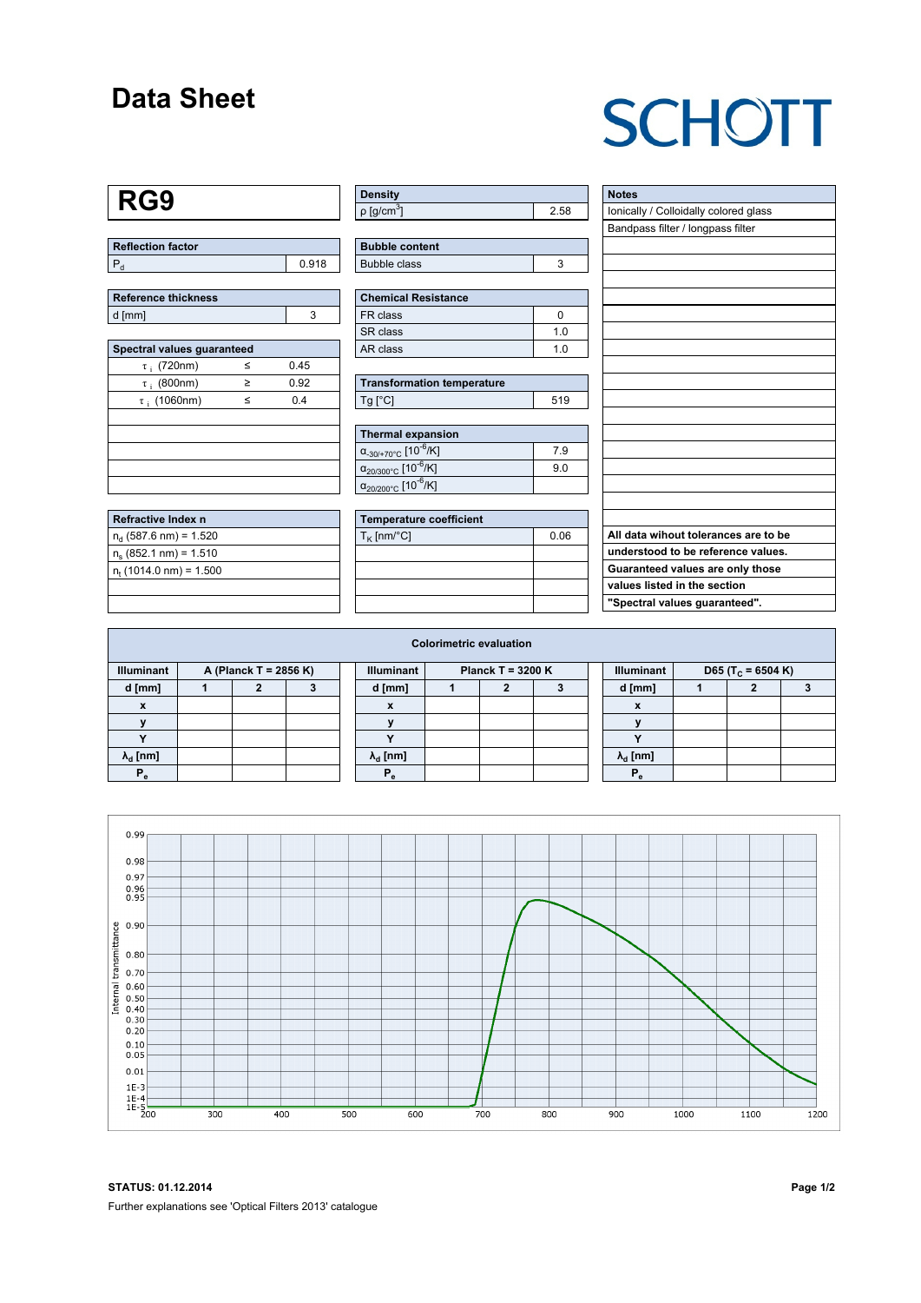### **Data Sheet**

# **SCHOTT**

#### **RG9**

| Reflection factor |       |
|-------------------|-------|
|                   | 0.918 |

| Reference thickness |  |  |  |  |  |  |
|---------------------|--|--|--|--|--|--|
| l d [mm]            |  |  |  |  |  |  |

| Spectral values guaranteed |   |      |  |  |  |  |  |  |  |
|----------------------------|---|------|--|--|--|--|--|--|--|
| $\tau$ ; (720nm)           | < | 0.45 |  |  |  |  |  |  |  |
| $\tau$ ; (800nm)           | ≥ | 0.92 |  |  |  |  |  |  |  |
| $\tau$ ; (1060nm)          | < | 0.4  |  |  |  |  |  |  |  |
|                            |   |      |  |  |  |  |  |  |  |
|                            |   |      |  |  |  |  |  |  |  |
|                            |   |      |  |  |  |  |  |  |  |
|                            |   |      |  |  |  |  |  |  |  |
|                            |   |      |  |  |  |  |  |  |  |

| Refractive Index n              |  |
|---------------------------------|--|
| $n_{d}$ (587.6 nm) = 1.520      |  |
| $n_s$ (852.1 nm) = 1.510        |  |
| $n_{\rm t}$ (1014.0 nm) = 1.500 |  |
|                                 |  |

| <b>Density</b>           |    |
|--------------------------|----|
| $p$ [g/cm <sup>3</sup> ] | 58 |

| <b>Bubble content</b> |  |
|-----------------------|--|
| Bubble class          |  |

| <b>Chemical Resistance</b> |     |  |  |  |  |
|----------------------------|-----|--|--|--|--|
| FR class                   |     |  |  |  |  |
| SR class                   | 1 በ |  |  |  |  |
| AR class                   | 1 በ |  |  |  |  |

| <b>Transformation temperature</b> |     |  |  |  |  |  |
|-----------------------------------|-----|--|--|--|--|--|
| $Tg$ [ $^{\circ}$ C]              | 519 |  |  |  |  |  |

| Thermal expansion                                 |     |
|---------------------------------------------------|-----|
| $\alpha_{.30/+70\degree}$ C [10 <sup>-6</sup> /K] | 79  |
| $\alpha_{20/300^{\circ}C}$ [10 <sup>-6</sup> /K]  | 9.0 |
| $\alpha_{20/200^{\circ}C}$ [10 <sup>-6</sup> /K]  |     |

| <b>Temperature coefficient</b> |      |  |  |  |  |  |  |
|--------------------------------|------|--|--|--|--|--|--|
| $T_K$ [nm/°C]                  | 0.06 |  |  |  |  |  |  |
|                                |      |  |  |  |  |  |  |
|                                |      |  |  |  |  |  |  |
|                                |      |  |  |  |  |  |  |
|                                |      |  |  |  |  |  |  |

| <b>Notes</b>                          |
|---------------------------------------|
| Ionically / Colloidally colored glass |
| Bandpass filter / longpass filter     |
|                                       |
|                                       |
|                                       |
|                                       |
|                                       |
|                                       |
|                                       |
|                                       |
|                                       |
|                                       |
|                                       |
|                                       |
|                                       |
|                                       |
|                                       |
|                                       |
|                                       |
| All data wihout tolerances are to be  |
| understood to be reference values.    |
| Guaranteed values are only those      |
| values listed in the section          |
| "Spectral values guaranteed".         |
|                                       |

| <b>Colorimetric evaluation</b>             |  |  |  |  |                                          |  |  |  |  |                        |                               |  |  |
|--------------------------------------------|--|--|--|--|------------------------------------------|--|--|--|--|------------------------|-------------------------------|--|--|
| <b>Illuminant</b><br>A (Planck T = 2856 K) |  |  |  |  | <b>Illuminant</b><br>Planck T = $3200 K$ |  |  |  |  | <b>Illuminant</b>      | D65 (T <sub>c</sub> = 6504 K) |  |  |
| d [mm]                                     |  |  |  |  | d [mm]                                   |  |  |  |  | d [mm]                 |                               |  |  |
| X                                          |  |  |  |  | X                                        |  |  |  |  | X                      |                               |  |  |
|                                            |  |  |  |  |                                          |  |  |  |  |                        |                               |  |  |
|                                            |  |  |  |  |                                          |  |  |  |  |                        |                               |  |  |
| $\lambda_{d}$ [nm]                         |  |  |  |  | $\lambda_{\rm d}$ [nm]                   |  |  |  |  | $\lambda_{\rm d}$ [nm] |                               |  |  |
| $P_{\alpha}$                               |  |  |  |  | $P_{\alpha}$                             |  |  |  |  | $P_{\alpha}$           |                               |  |  |